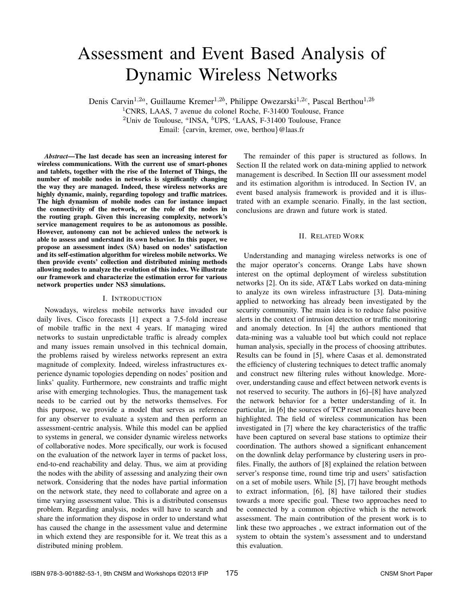# Assessment and Event Based Analysis of Dynamic Wireless Networks

Denis Carvin<sup>1,2a</sup>, Guillaume Kremer<sup>1,2b</sup>, Philippe Owezarski<sup>1,2c</sup>, Pascal Berthou<sup>1,2b</sup>

<sup>1</sup>CNRS, LAAS, 7 avenue du colonel Roche, F-31400 Toulouse, France

<sup>2</sup>Univ de Toulouse,  ${}^a$ INSA,  ${}^b$ UPS,  ${}^c$ LAAS, F-31400 Toulouse, France

Email: {carvin, kremer, owe, berthou}@laas.fr

*Abstract***—The last decade has seen an increasing interest for wireless communications. With the current use of smart-phones and tablets, together with the rise of the Internet of Things, the number of mobile nodes in networks is significantly changing the way they are managed. Indeed, these wireless networks are highly dynamic, mainly, regarding topology and traffic matrices. The high dynamism of mobile nodes can for instance impact the connectivity of the network, or the role of the nodes in the routing graph. Given this increasing complexity, network's service management requires to be as autonomous as possible. However, autonomy can not be achieved unless the network is able to assess and understand its own behavior. In this paper, we propose an assessment index (SA) based on nodes' satisfaction and its self-estimation algorithm for wireless mobile networks. We then provide events' collection and distributed mining methods allowing nodes to analyze the evolution of this index. We illustrate our framework and characterize the estimation error for various network properties under NS3 simulations.**

## I. INTRODUCTION

Nowadays, wireless mobile networks have invaded our daily lives. Cisco forecasts [1] expect a 7.5-fold increase of mobile traffic in the next 4 years. If managing wired networks to sustain unpredictable traffic is already complex and many issues remain unsolved in this technical domain, the problems raised by wireless networks represent an extra magnitude of complexity. Indeed, wireless infrastructures experience dynamic topologies depending on nodes' position and links' quality. Furthermore, new constraints and traffic might arise with emerging technologies. Thus, the management task needs to be carried out by the networks themselves. For this purpose, we provide a model that serves as reference for any observer to evaluate a system and then perform an assessment-centric analysis. While this model can be applied to systems in general, we consider dynamic wireless networks of collaborative nodes. More specifically, our work is focused on the evaluation of the network layer in terms of packet loss, end-to-end reachability and delay. Thus, we aim at providing the nodes with the ability of assessing and analyzing their own network. Considering that the nodes have partial information on the network state, they need to collaborate and agree on a time varying assessment value. This is a distributed consensus problem. Regarding analysis, nodes will have to search and share the information they dispose in order to understand what has caused the change in the assessment value and determine in which extend they are responsible for it. We treat this as a distributed mining problem.

The remainder of this paper is structured as follows. In Section II the related work on data-mining applied to network management is described. In Section III our assessment model and its estimation algorithm is introduced. In Section IV, an event based analysis framework is provided and it is illustrated with an example scenario. Finally, in the last section, conclusions are drawn and future work is stated.

## II. RELATED WORK

Understanding and managing wireless networks is one of the major operator's concerns. Orange Labs have shown interest on the optimal deployment of wireless substitution networks [2]. On its side, AT&T Labs worked on data-mining to analyze its own wireless infrastructure [3]. Data-mining applied to networking has already been investigated by the security community. The main idea is to reduce false positive alerts in the context of intrusion detection or traffic monitoring and anomaly detection. In [4] the authors mentioned that data-mining was a valuable tool but which could not replace human analysis, specially in the process of choosing attributes. Results can be found in [5], where Casas et al. demonstrated the efficiency of clustering techniques to detect traffic anomaly and construct new filtering rules without knowledge. Moreover, understanding cause and effect between network events is not reserved to security. The authors in [6]–[8] have analyzed the network behavior for a better understanding of it. In particular, in [6] the sources of TCP reset anomalies have been highlighted. The field of wireless communication has been investigated in [7] where the key characteristics of the traffic have been captured on several base stations to optimize their coordination. The authors showed a significant enhancement on the downlink delay performance by clustering users in profiles. Finally, the authors of [8] explained the relation between server's response time, round time trip and users' satisfaction on a set of mobile users. While [5], [7] have brought methods to extract information, [6], [8] have tailored their studies towards a more specific goal. These two approaches need to be connected by a common objective which is the network assessment. The main contribution of the present work is to link these two approaches , we extract information out of the system to obtain the system's assessment and to understand this evaluation.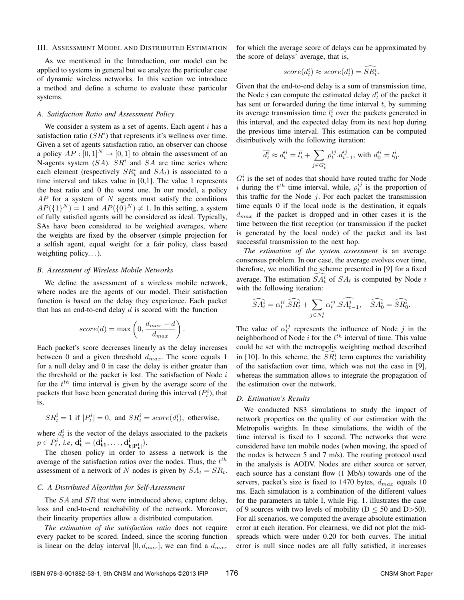#### III. ASSESSMENT MODEL AND DISTRIBUTED ESTIMATION

As we mentioned in the Introduction, our model can be applied to systems in general but we analyze the particular case of dynamic wireless networks. In this section we introduce a method and define a scheme to evaluate these particular systems.

## *A. Satisfaction Ratio and Assessment Policy*

We consider a system as a set of agents. Each agent  $i$  has a satisfaction ratio  $(S\hat{R}^i)$  that represents it's wellness over time. Given a set of agents satisfaction ratio, an observer can choose a policy  $AP : [0, 1]^N \rightarrow [0, 1]$  to obtain the assessment of an N-agents system  $(SA)$ .  $SR<sup>i</sup>$  and  $SA$  are time series where each element (respectively  $SR_t^i$  and  $SA_t$ ) is associated to a time interval and takes value in [0,1]. The value 1 represents the best ratio and 0 the worst one. In our model, a policy  $AP$  for a system of  $N$  agents must satisfy the conditions  $AP({1}^N) = 1$  and  $AP({0}^N) \neq 1$ . In this setting, a system of fully satisfied agents will be considered as ideal. Typically, SAs have been considered to be weighted averages, where the weights are fixed by the observer (simple projection for a selfish agent, equal weight for a fair policy, class based weighting policy. . . ).

## *B. Assessment of Wireless Mobile Networks*

We define the assessment of a wireless mobile network, where nodes are the agents of our model. Their satisfaction function is based on the delay they experience. Each packet that has an end-to-end delay  $d$  is scored with the function

$$
score(d) = \max\left(0, \frac{d_{max} - d}{d_{max}}\right).
$$

Each packet's score decreases linearly as the delay increases between 0 and a given threshold  $d_{max}$ . The score equals 1 for a null delay and 0 in case the delay is either greater than the threshold or the packet is lost. The satisfaction of Node  $i$ for the  $t^{th}$  time interval is given by the average score of the packets that have been generated during this interval  $(P_t^i)$ , that is,

$$
SR_t^i = 1
$$
 if  $|P_t^i| = 0$ , and  $SR_t^i = \overline{score(d_t^i)}$ , otherwise,

where  $d_t^i$  is the vector of the delays associated to the packets  $p \in P_t^i$ , *i.e*,  $d_t^i = (d_{t1}^i, \ldots, d_{t|P_t^i}^i).$ 

The chosen policy in order to assess a network is the average of the satisfaction ratios over the nodes. Thus, the  $t^{th}$ assessment of a network of N nodes is given by  $SA_t = \overline{SR_t}$ .

# *C. A Distributed Algorithm for Self-Assessment*

The  $SA$  and  $SR$  that were introduced above, capture delay, loss and end-to-end reachability of the network. Moreover, their linearity properties allow a distributed computation.

*The estimation of the satisfaction ratio* does not require every packet to be scored. Indeed, since the scoring function is linear on the delay interval  $[0, d_{max}]$ , we can find a  $d_{max}$ 

for which the average score of delays can be approximated by the score of delays' average, that is,

$$
\overline{score(d_t^i)} \approx score(\overline{d_t^i}) = \widehat{SR_t^i}.
$$

Given that the end-to-end delay is a sum of transmission time, the Node *i* can compute the estimated delay  $d_t^i$  of the packet it has sent or forwarded during the time interval  $t$ , by summing its average transmission time  $\bar{l}_t^i$  over the packets generated in this interval, and the expected delay from its next hop during the previous time interval. This estimation can be computed distributively with the following iteration:

$$
\overline{d^i_t} \approx d'^i_t = \overline{l^i_t} + \sum_{j \in G^i_t} \rho^{ij}_t . d'^j_{t-1}, \text{ with } d'^i_0 = l^i_0.
$$

 $G_t^i$  is the set of nodes that should have routed traffic for Node i during the  $t^{th}$  time interval, while,  $\rho_t^{ij}$  is the proportion of this traffic for the Node  $j$ . For each packet the transmission time equals 0 if the local node is the destination, it equals  $d_{max}$  if the packet is dropped and in other cases it is the time between the first reception (or transmission if the packet is generated by the local node) of the packet and its last successful transmission to the next hop.

*The estimation of the system assessment* is an average consensus problem. In our case, the average evolves over time, therefore, we modified the scheme presented in [9] for a fixed average. The estimation  $SA_t^i$  of  $SA_t$  is computed by Node i with the following iteration:

$$
\widehat{SA_{t}^{i}} = \alpha^{ii}_{t}.\widehat{SR_{t}^{i}} + \sum_{j \in N_{t}^{i}} \alpha^{ij}_{t}.\widehat{SA_{t-1}^{j}}, \quad \widehat{SA_{0}^{i}} = \widehat{SR_{0}^{i}}.
$$

The value of  $\alpha_t^{ij}$  represents the influence of Node j in the neighborhood of Node  $i$  for the  $t^{th}$  interval of time. This value could be set with the metropolis weighting method described in [10]. In this scheme, the  $SR_t^i$  term captures the variability of the satisfaction over time, which was not the case in [9], whereas the summation allows to integrate the propagation of the estimation over the network.

## *D. Estimation's Results*

We conducted NS3 simulations to study the impact of network properties on the quality of our estimation with the Metropolis weights. In these simulations, the width of the time interval is fixed to 1 second. The networks that were considered have ten mobile nodes (when moving, the speed of the nodes is between 5 and 7 m/s). The routing protocol used in the analysis is AODV. Nodes are either source or server, each source has a constant flow (1 Mb/s) towards one of the servers, packet's size is fixed to 1470 bytes,  $d_{max}$  equals 10 ms. Each simulation is a combination of the different values for the parameters in table I, while Fig. 1. illustrates the case of 9 sources with two levels of mobility ( $D \le 50$  and  $D > 50$ ). For all scenarios, we computed the average absolute estimation error at each iteration. For clearness, we did not plot the midspreads which were under 0.20 for both curves. The initial error is null since nodes are all fully satisfied, it increases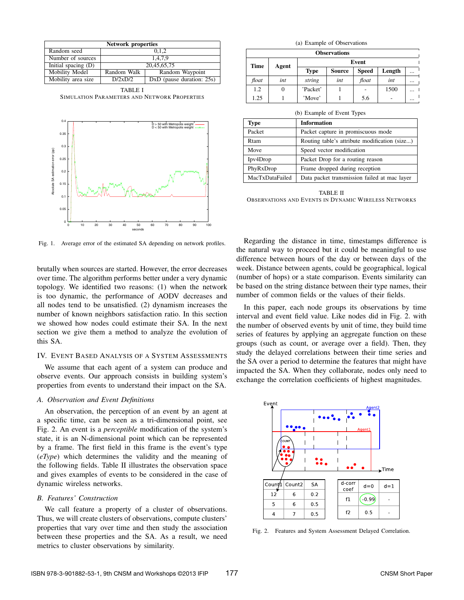| <b>Network properties</b> |             |                             |  |
|---------------------------|-------------|-----------------------------|--|
| Random seed               | 0.1.2       |                             |  |
| Number of sources         | 1.4.7.9     |                             |  |
| Initial spacing (D)       | 20,45,65,75 |                             |  |
| Mobility Model            | Random Walk | Random Waypoint             |  |
| Mobility area size        | D/2xD/2     | $DxD$ (pause duration: 25s) |  |

TABLE I SIMULATION PARAMETERS AND NETWORK PROPERTIES



Fig. 1. Average error of the estimated SA depending on network profiles.

brutally when sources are started. However, the error decreases over time. The algorithm performs better under a very dynamic topology. We identified two reasons: (1) when the network is too dynamic, the performance of AODV decreases and all nodes tend to be unsatisfied. (2) dynamism increases the number of known neighbors satisfaction ratio. In this section we showed how nodes could estimate their SA. In the next section we give them a method to analyze the evolution of this SA.

#### IV. EVENT BASED ANALYSIS OF A SYSTEM ASSESSMENTS

We assume that each agent of a system can produce and observe events. Our approach consists in building system's properties from events to understand their impact on the SA.

# *A. Observation and Event Definitions*

An observation, the perception of an event by an agent at a specific time, can be seen as a tri-dimensional point, see Fig. 2. An event is a *perceptible* modification of the system's state, it is an N-dimensional point which can be represented by a frame. The first field in this frame is the event's type (*eType*) which determines the validity and the meaning of the following fields. Table II illustrates the observation space and gives examples of events to be considered in the case of dynamic wireless networks.

## *B. Features' Construction*

We call feature a property of a cluster of observations. Thus, we will create clusters of observations, compute clusters' properties that vary over time and then study the association between these properties and the SA. As a result, we need metrics to cluster observations by similarity.

|  |  |  | (a) Example of Observations |
|--|--|--|-----------------------------|
|--|--|--|-----------------------------|

| <b>Observations</b>  |       |             |               |              |        |          |
|----------------------|-------|-------------|---------------|--------------|--------|----------|
| <b>Time</b><br>Agent | Event |             |               |              |        |          |
|                      |       | <b>Type</b> | <b>Source</b> | <b>Speed</b> | Length | $\cdots$ |
| float                | int   | string      | int           | float        | int    |          |
| 1.2                  | 0     | 'Packet'    |               |              | 1500   |          |
| 1.25                 |       | 'Move'      |               | 5.6          |        |          |

(b) Example of Event Types

| (0) EXAMPLE OF EVENT TYPES |                                               |  |
|----------------------------|-----------------------------------------------|--|
| <b>Type</b>                | <b>Information</b>                            |  |
| Packet                     | Packet capture in promiscuous mode            |  |
| Rtam                       | Routing table's attribute modification (size) |  |
| Move                       | Speed vector modification                     |  |
| Ipv4Drop                   | Packet Drop for a routing reason              |  |
| PhyRxDrop                  | Frame dropped during reception                |  |
| MacTxDataFailed            | Data packet transmission failed at mac layer  |  |

TABLE II OBSERVATIONS AND EVENTS IN DYNAMIC WIRELESS NETWORKS

Regarding the distance in time, timestamps difference is the natural way to proceed but it could be meaningful to use difference between hours of the day or between days of the week. Distance between agents, could be geographical, logical (number of hops) or a state comparison. Events similarity can be based on the string distance between their type names, their number of common fields or the values of their fields.

In this paper, each node groups its observations by time interval and event field value. Like nodes did in Fig. 2. with the number of observed events by unit of time, they build time series of features by applying an aggregate function on these groups (such as count, or average over a field). Then, they study the delayed correlations between their time series and the SA over a period to determine the features that might have impacted the SA. When they collaborate, nodes only need to exchange the correlation coefficients of highest magnitudes.



Fig. 2. Features and System Assessment Delayed Correlation.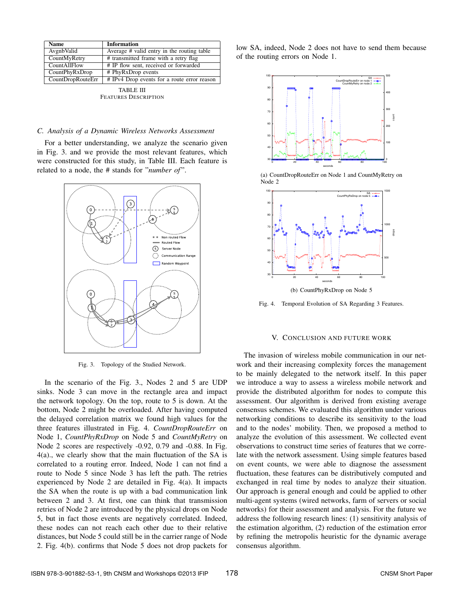| Name              | <b>Information</b>                          |
|-------------------|---------------------------------------------|
| AvgnbValid        | Average # valid entry in the routing table  |
| CountMyRetry      | # transmitted frame with a retry flag       |
| CountAllFlow      | # IP flow sent, received or forwarded       |
| CountPhyRxDrop    | # PhyRxDrop events                          |
| CountDropRouteErr | # IPv4 Drop events for a route error reason |

TABLE III FEATURES DESCRIPTION

#### *C. Analysis of a Dynamic Wireless Networks Assessment*

For a better understanding, we analyze the scenario given in Fig. 3. and we provide the most relevant features, which were constructed for this study, in Table III. Each feature is related to a node, the # stands for "*number of* ".



Fig. 3. Topology of the Studied Network.

In the scenario of the Fig. 3., Nodes 2 and 5 are UDP sinks. Node 3 can move in the rectangle area and impact the network topology. On the top, route to 5 is down. At the bottom, Node 2 might be overloaded. After having computed the delayed correlation matrix we found high values for the three features illustrated in Fig. 4. *CountDropRouteErr* on Node 1, *CountPhyRxDrop* on Node 5 and *CountMyRetry* on Node 2 scores are respectively -0.92, 0.79 and -0.88. In Fig. 4(a)., we clearly show that the main fluctuation of the SA is correlated to a routing error. Indeed, Node 1 can not find a route to Node 5 since Node 3 has left the path. The retries experienced by Node 2 are detailed in Fig. 4(a). It impacts the SA when the route is up with a bad communication link between 2 and 3. At first, one can think that transmission retries of Node 2 are introduced by the physical drops on Node 5, but in fact those events are negatively correlated. Indeed, these nodes can not reach each other due to their relative distances, but Node 5 could still be in the carrier range of Node 2. Fig. 4(b). confirms that Node 5 does not drop packets for low SA, indeed, Node 2 does not have to send them because of the routing errors on Node 1.



(a) CountDropRouteErr on Node 1 and CountMyRetry on Node 2



Fig. 4. Temporal Evolution of SA Regarding 3 Features.

## V. CONCLUSION AND FUTURE WORK

The invasion of wireless mobile communication in our network and their increasing complexity forces the management to be mainly delegated to the network itself. In this paper we introduce a way to assess a wireless mobile network and provide the distributed algorithm for nodes to compute this assessment. Our algorithm is derived from existing average consensus schemes. We evaluated this algorithm under various networking conditions to describe its sensitivity to the load and to the nodes' mobility. Then, we proposed a method to analyze the evolution of this assessment. We collected event observations to construct time series of features that we correlate with the network assessment. Using simple features based on event counts, we were able to diagnose the assessment fluctuation, these features can be distributively computed and exchanged in real time by nodes to analyze their situation. Our approach is general enough and could be applied to other multi-agent systems (wired networks, farm of servers or social networks) for their assessment and analysis. For the future we address the following research lines: (1) sensitivity analysis of the estimation algorithm, (2) reduction of the estimation error by refining the metropolis heuristic for the dynamic average consensus algorithm.